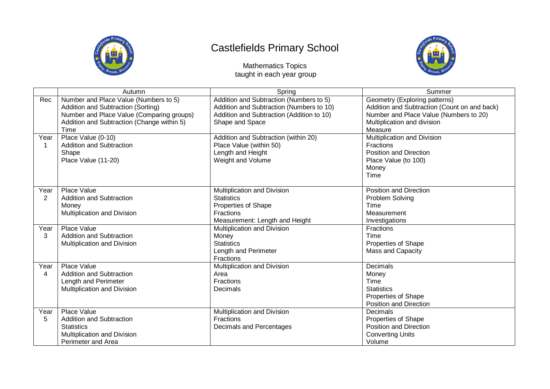

## Castlefields Primary School



Mathematics Topics taught in each year group

|                | Autumn                                     | Spring                                    | Summer                                       |
|----------------|--------------------------------------------|-------------------------------------------|----------------------------------------------|
| Rec            | Number and Place Value (Numbers to 5)      | Addition and Subtraction (Numbers to 5)   | Geometry (Exploring patterns)                |
|                | Addition and Subtraction (Sorting)         | Addition and Subtraction (Numbers to 10)  | Addition and Subtraction (Count on and back) |
|                | Number and Place Value (Comparing groups)  | Addition and Subtraction (Addition to 10) | Number and Place Value (Numbers to 20)       |
|                | Addition and Subtraction (Change within 5) | Shape and Space                           | Multiplication and division                  |
|                | Time                                       |                                           | Measure                                      |
| Year           | Place Value (0-10)                         | Addition and Subtraction (within 20)      | <b>Multiplication and Division</b>           |
|                | <b>Addition and Subtraction</b>            | Place Value (within 50)                   | Fractions                                    |
|                | Shape                                      | Length and Height                         | <b>Position and Direction</b>                |
|                | Place Value (11-20)                        | Weight and Volume                         | Place Value (to 100)                         |
|                |                                            |                                           | Money                                        |
|                |                                            |                                           | Time                                         |
|                |                                            |                                           |                                              |
| Year           | Place Value                                | Multiplication and Division               | Position and Direction                       |
| $\overline{2}$ | <b>Addition and Subtraction</b>            | <b>Statistics</b>                         | Problem Solving                              |
|                | Money                                      | Properties of Shape                       | Time                                         |
|                | Multiplication and Division                | Fractions                                 | Measurement                                  |
|                |                                            | Measurement: Length and Height            | Investigations                               |
| Year           | Place Value                                | Multiplication and Division               | Fractions                                    |
| 3              | <b>Addition and Subtraction</b>            | Money                                     | Time                                         |
|                | Multiplication and Division                | <b>Statistics</b>                         | Properties of Shape                          |
|                |                                            | Length and Perimeter                      | <b>Mass and Capacity</b>                     |
|                |                                            | <b>Fractions</b>                          |                                              |
| Year           | Place Value                                | Multiplication and Division               | <b>Decimals</b>                              |
| 4              | <b>Addition and Subtraction</b>            | Area                                      | Money                                        |
|                | Length and Perimeter                       | Fractions                                 | Time                                         |
|                | Multiplication and Division                | Decimals                                  | <b>Statistics</b>                            |
|                |                                            |                                           | <b>Properties of Shape</b>                   |
|                |                                            |                                           | Position and Direction                       |
| Year           | Place Value                                | Multiplication and Division               | <b>Decimals</b>                              |
| 5              | <b>Addition and Subtraction</b>            | Fractions                                 | Properties of Shape                          |
|                | <b>Statistics</b>                          | Decimals and Percentages                  | Position and Direction                       |
|                | Multiplication and Division                |                                           | <b>Converting Units</b>                      |
|                | Perimeter and Area                         |                                           | Volume                                       |